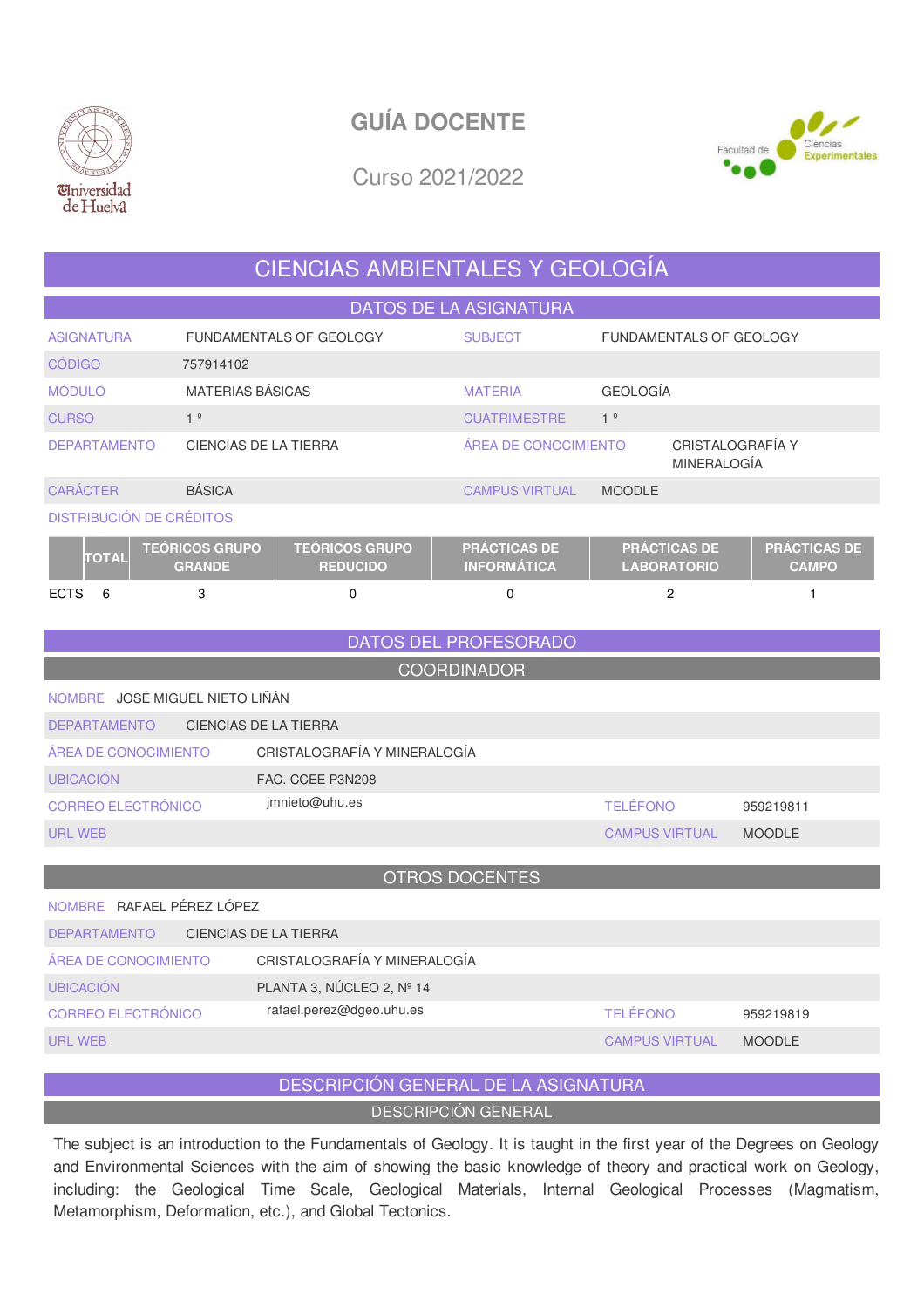



Curso 2021/2022

### CIENCIAS AMBIENTALES Y GEOLOGÍA

| <b>DATOS DE LA ASIGNATURA</b>   |                                        |                                          |                                           |                                           |                                     |  |  |  |  |
|---------------------------------|----------------------------------------|------------------------------------------|-------------------------------------------|-------------------------------------------|-------------------------------------|--|--|--|--|
| <b>ASIGNATURA</b>               |                                        | <b>FUNDAMENTALS OF GEOLOGY</b>           | <b>SUBJECT</b>                            | <b>FUNDAMENTALS OF GEOLOGY</b>            |                                     |  |  |  |  |
| <b>CÓDIGO</b>                   | 757914102                              |                                          |                                           |                                           |                                     |  |  |  |  |
| <b>MÓDULO</b>                   | <b>MATERIAS BÁSICAS</b>                |                                          | <b>MATERIA</b>                            | <b>GEOLOGÍA</b>                           |                                     |  |  |  |  |
| <b>CURSO</b>                    | 1 <sup>°</sup>                         |                                          | <b>CUATRIMESTRE</b>                       | 1 <sup>°</sup>                            |                                     |  |  |  |  |
| <b>DEPARTAMENTO</b>             | CIENCIAS DE LA TIERRA                  |                                          | ÁREA DE CONOCIMIENTO                      |                                           | CRISTALOGRAFÍA Y<br>MINERALOGÍA     |  |  |  |  |
| <b>CARÁCTER</b>                 | <b>BÁSICA</b>                          |                                          | <b>CAMPUS VIRTUAL</b>                     | <b>MOODLE</b>                             |                                     |  |  |  |  |
| <b>DISTRIBUCIÓN DE CRÉDITOS</b> |                                        |                                          |                                           |                                           |                                     |  |  |  |  |
| TOTAL                           | <b>TEÓRICOS GRUPO</b><br><b>GRANDE</b> | <b>TEÓRICOS GRUPO</b><br><b>REDUCIDO</b> | <b>PRÁCTICAS DE</b><br><b>INFORMÁTICA</b> | <b>PRÁCTICAS DE</b><br><b>LABORATORIO</b> | <b>PRÁCTICAS DE</b><br><b>CAMPO</b> |  |  |  |  |
| <b>ECTS</b><br>6                | 3                                      | 0                                        | 0                                         | 2                                         |                                     |  |  |  |  |

DATOS DEL PROFESORADO

**COORDINADOR** 

| NOMBRE JOSÉ MIGUEL NIETO LIÑÁN               |                              |                       |               |  |  |  |  |
|----------------------------------------------|------------------------------|-----------------------|---------------|--|--|--|--|
| CIENCIAS DE LA TIERRA<br><b>DEPARTAMENTO</b> |                              |                       |               |  |  |  |  |
| AREA DE CONOCIMIENTO                         | CRISTALOGRAFÍA Y MINERALOGÍA |                       |               |  |  |  |  |
| <b>UBICACIÓN</b>                             | FAC. CCEE P3N208             |                       |               |  |  |  |  |
| CORREO ELECTRÓNICO                           | jmnieto@uhu.es               | <b>TELÉFONO</b>       | 959219811     |  |  |  |  |
| URL WEB                                      |                              | <b>CAMPUS VIRTUAL</b> | <b>MOODLE</b> |  |  |  |  |

| <b>OTROS DOCENTES</b>                        |                              |                       |               |  |  |  |
|----------------------------------------------|------------------------------|-----------------------|---------------|--|--|--|
| NOMBRE RAFAEL PÉREZ LÓPEZ                    |                              |                       |               |  |  |  |
| CIENCIAS DE LA TIERRA<br><b>DEPARTAMENTO</b> |                              |                       |               |  |  |  |
| ÁREA DE CONOCIMIENTO                         | CRISTALOGRAFÍA Y MINERALOGÍA |                       |               |  |  |  |
| <b>UBICACIÓN</b>                             | PLANTA 3, NÚCLEO 2, Nº 14    |                       |               |  |  |  |
| CORREO ELECTRÓNICO                           | rafael.perez@dgeo.uhu.es     | <b>TELÉFONO</b>       | 959219819     |  |  |  |
| URL WEB                                      |                              | <b>CAMPUS VIRTUAL</b> | <b>MOODLE</b> |  |  |  |
|                                              |                              |                       |               |  |  |  |

### DESCRIPCIÓN GENERAL DE LA ASIGNATURA

DESCRIPCIÓN GENERAL

The subject is an introduction to the Fundamentals of Geology. It is taught in the first year of the Degrees on Geology and Environmental Sciences with the aim of showing the basic knowledge of theory and practical work on Geology, including: the Geological Time Scale, Geological Materials, Internal Geological Processes (Magmatism, Metamorphism, Deformation, etc.), and Global Tectonics.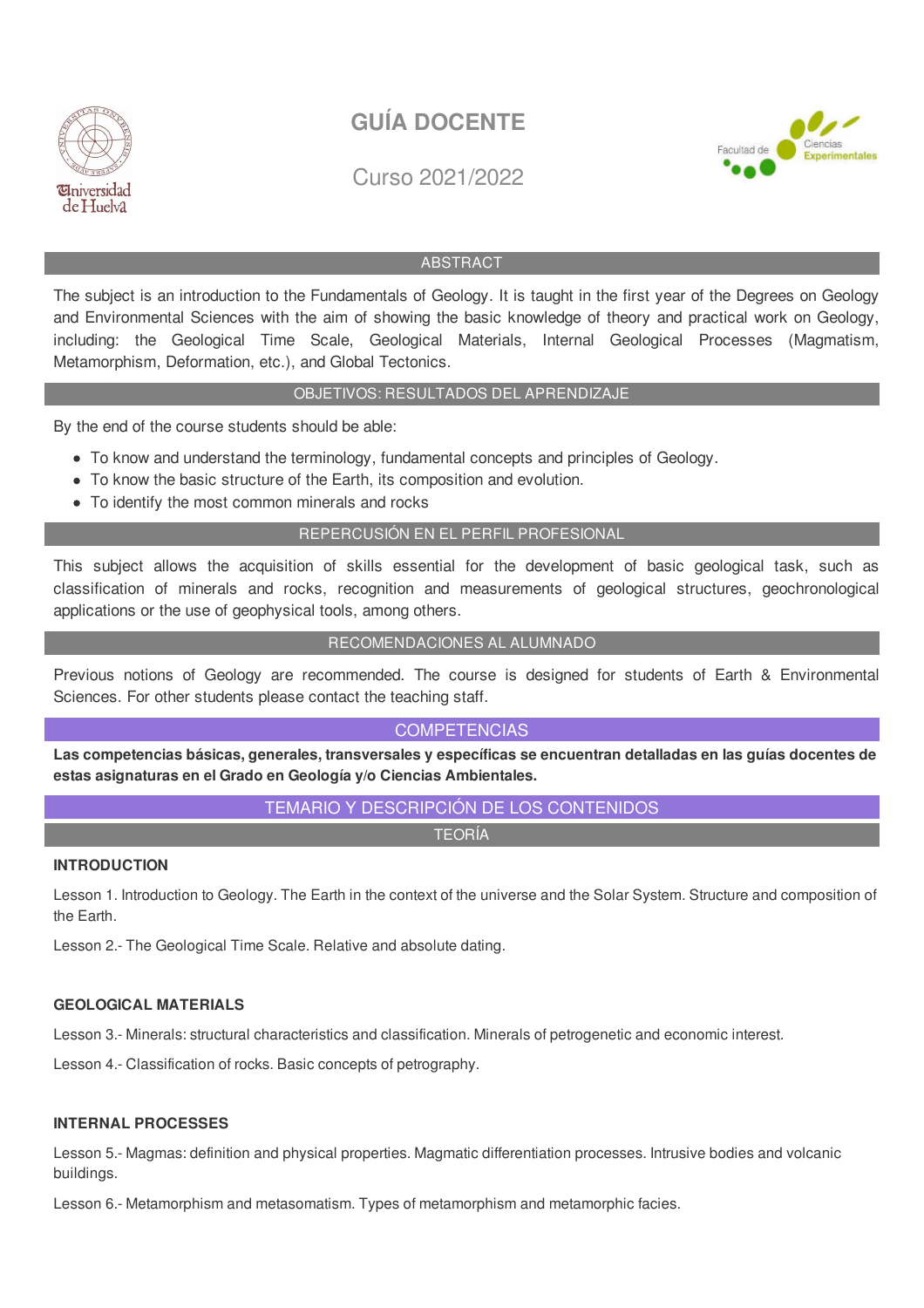

Curso 2021/2022



### ABSTRACT

The subject is an introduction to the Fundamentals of Geology. It is taught in the first year of the Degrees on Geology and Environmental Sciences with the aim of showing the basic knowledge of theory and practical work on Geology, including: the Geological Time Scale, Geological Materials, Internal Geological Processes (Magmatism, Metamorphism, Deformation, etc.), and Global Tectonics.

#### OBJETIVOS: RESULTADOS DEL APRENDIZAJE

By the end of the course students should be able:

- To know and understand the terminology, fundamental concepts and principles of Geology.
- To know the basic structure of the Earth, its composition and evolution.
- To identify the most common minerals and rocks

### REPERCUSIÓN EN EL PERFIL PROFESIONAL

This subject allows the acquisition of skills essential for the development of basic geological task, such as classification of minerals and rocks, recognition and measurements of geological structures, geochronological applications or the use of geophysical tools, among others.

#### RECOMENDACIONES AL ALUMNADO

Previous notions of Geology are recommended. The course is designed for students of Earth & Environmental Sciences. For other students please contact the teaching staff.

### **COMPETENCIAS**

**Las competencias básicas, generales, transversales y específicas se encuentran detalladas en las guías docentes de estas asignaturas en el Grado en Geología y/o Ciencias Ambientales.**

### TEMARIO Y DESCRIPCIÓN DE LOS CONTENIDOS

TEORÍA

### **INTRODUCTION**

Lesson 1. Introduction to Geology. The Earth in the context of the universe and the Solar System. Structure and composition of the Earth.

Lesson 2.- The Geological Time Scale. Relative and absolute dating.

### **GEOLOGICAL MATERIALS**

Lesson 3.- Minerals: structural characteristics and classification. Minerals of petrogenetic and economic interest.

Lesson 4.- Classification of rocks. Basic concepts of petrography.

#### **INTERNAL PROCESSES**

Lesson 5.- Magmas: definition and physical properties. Magmatic differentiation processes. Intrusive bodies and volcanic buildings.

Lesson 6.- Metamorphism and metasomatism. Types of metamorphism and metamorphic facies.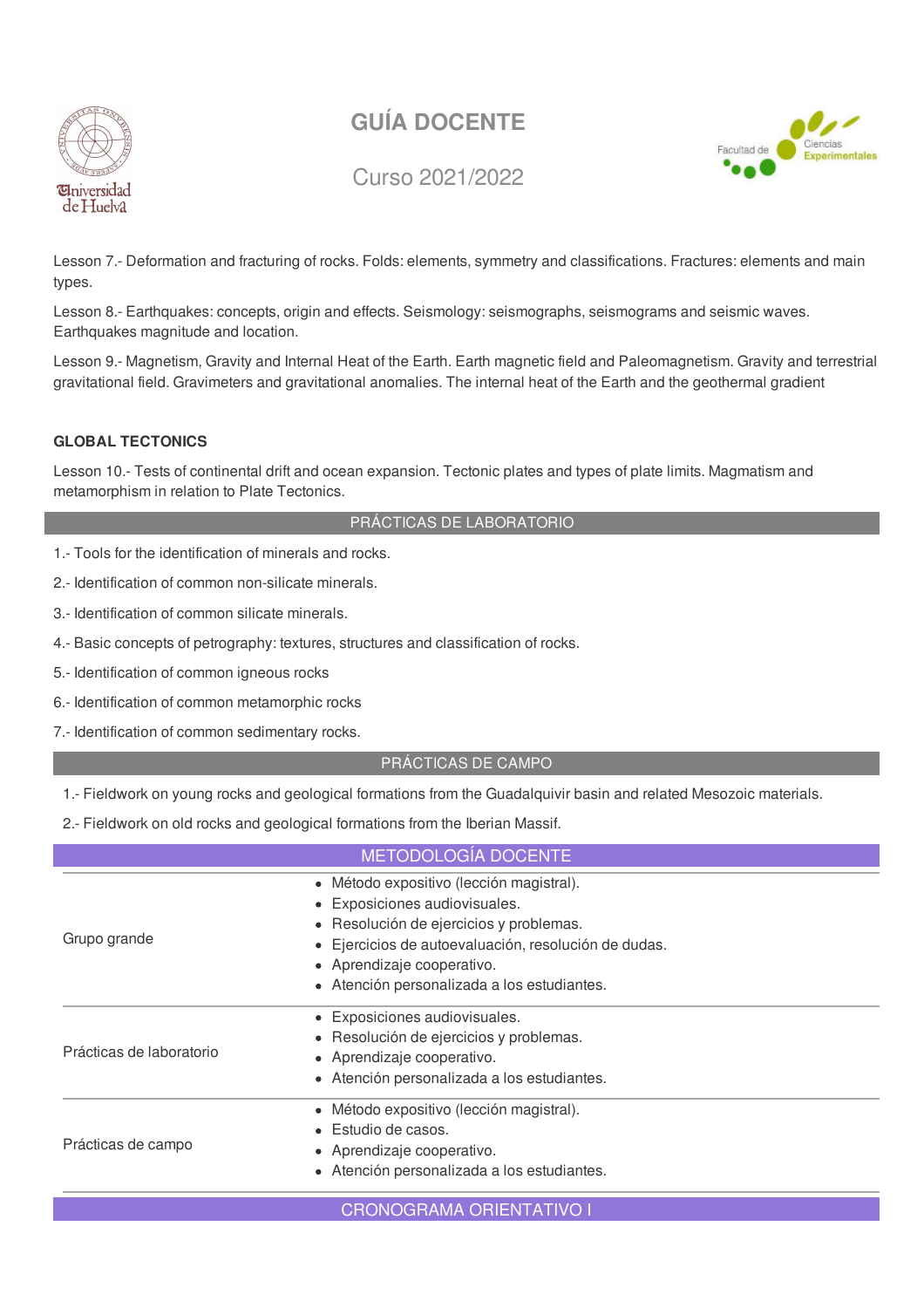

Curso 2021/2022



Lesson 7.- Deformation and fracturing of rocks. Folds: elements, symmetry and classifications. Fractures: elements and main types.

Lesson 8.- Earthquakes: concepts, origin and effects. Seismology: seismographs, seismograms and seismic waves. Earthquakes magnitude and location.

Lesson 9.- Magnetism, Gravity and Internal Heat of the Earth. Earth magnetic field and Paleomagnetism. Gravity and terrestrial gravitational field. Gravimeters and gravitational anomalies. The internal heat of the Earth and the geothermal gradient

### **GLOBAL TECTONICS**

Lesson 10.- Tests of continental drift and ocean expansion. Tectonic plates and types of plate limits. Magmatism and metamorphism in relation to Plate Tectonics.

### PRÁCTICAS DE LABORATORIO

- 1.- Tools for the identification of minerals and rocks.
- 2.- Identification of common non-silicate minerals.
- 3.- Identification of common silicate minerals.
- 4.- Basic concepts of petrography: textures, structures and classification of rocks.
- 5.- Identification of common igneous rocks
- 6.- Identification of common metamorphic rocks
- 7.- Identification of common sedimentary rocks.

### PRÁCTICAS DE CAMPO

1.- Fieldwork on young rocks and geological formations from the Guadalquivir basin and related Mesozoic materials.

2.- Fieldwork on old rocks and geological formations from the Iberian Massif.

|                          | METODOLOGÍA DOCENTE                                                                                                                                                                                                                                                  |
|--------------------------|----------------------------------------------------------------------------------------------------------------------------------------------------------------------------------------------------------------------------------------------------------------------|
| Grupo grande             | · Método expositivo (lección magistral).<br>• Exposiciones audiovisuales.<br>· Resolución de ejercicios y problemas.<br>Ejercicios de autoevaluación, resolución de dudas.<br>$\bullet$<br>• Aprendizaje cooperativo.<br>• Atención personalizada a los estudiantes. |
| Prácticas de laboratorio | • Exposiciones audiovisuales.<br>Resolución de ejercicios y problemas.<br>• Aprendizaje cooperativo.<br>• Atención personalizada a los estudiantes.                                                                                                                  |
| Prácticas de campo       | · Método expositivo (lección magistral).<br>Estudio de casos.<br>• Aprendizaje cooperativo.<br>• Atención personalizada a los estudiantes.                                                                                                                           |
|                          | <b>CRONOGRAMA ORIENTATIVO I</b>                                                                                                                                                                                                                                      |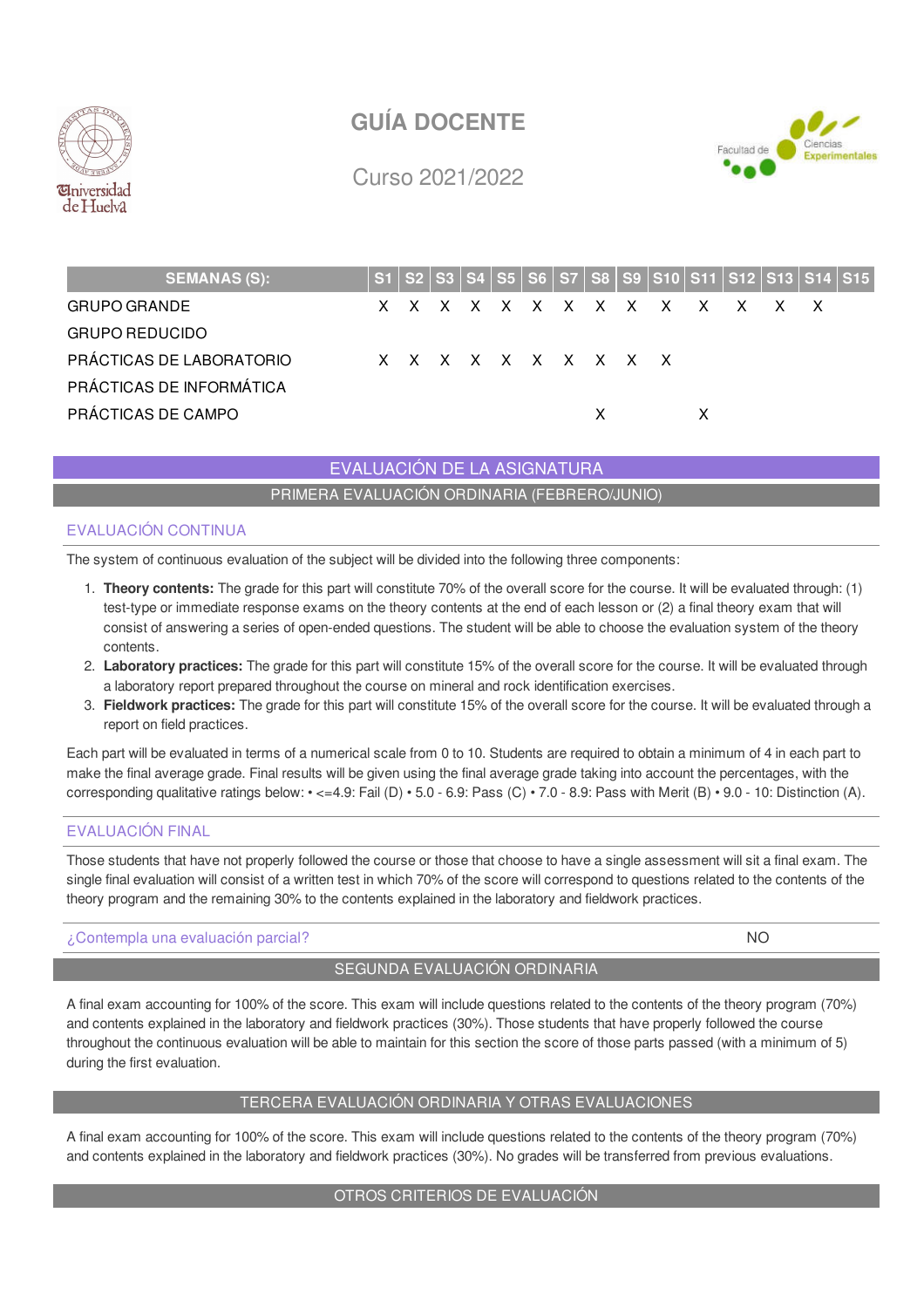



Curso 2021/2022

| <b>SEMANAS (S):</b>      |  |  |  |                     |     |  |                             |  | S1   S2   S3   S4   S5   S6   S7   S8   S9   S10   S11   S12   S13   S14   S15 |  |
|--------------------------|--|--|--|---------------------|-----|--|-----------------------------|--|--------------------------------------------------------------------------------|--|
| <b>GRUPO GRANDE</b>      |  |  |  |                     |     |  | x x x x x x x x x x x x x x |  |                                                                                |  |
| <b>GRUPO REDUCIDO</b>    |  |  |  |                     |     |  |                             |  |                                                                                |  |
| PRÁCTICAS DE LABORATORIO |  |  |  | X X X X X X X X X X |     |  |                             |  |                                                                                |  |
| PRÁCTICAS DE INFORMÁTICA |  |  |  |                     |     |  |                             |  |                                                                                |  |
| PRÁCTICAS DE CAMPO       |  |  |  |                     | X — |  |                             |  |                                                                                |  |

EVALUACIÓN DE LA ASIGNATURA

PRIMERA EVALUACIÓN ORDINARIA (FEBRERO/JUNIO)

### EVALUACIÓN CONTINUA

The system of continuous evaluation of the subject will be divided into the following three components:

- 1. **Theory contents:** The grade for this part will constitute 70% of the overall score for the course. It will be evaluated through: (1) test-type or immediate response exams on the theory contents at the end of each lesson or (2) a final theory exam that will consist of answering a series of open-ended questions. The student will be able to choose the evaluation system of the theory contents.
- 2. **Laboratory practices:** The grade for this part will constitute 15% of the overall score for the course. It will be evaluated through a laboratory report prepared throughout the course on mineral and rock identification exercises.
- 3. **Fieldwork practices:** The grade for this part will constitute 15% of the overall score for the course. It will be evaluated through a report on field practices.

Each part will be evaluated in terms of a numerical scale from 0 to 10. Students are required to obtain a minimum of 4 in each part to make the final average grade. Final results will be given using the final average grade taking into account the percentages, with the corresponding qualitative ratings below: • <=4.9: Fail (D) • 5.0 - 6.9: Pass (C) • 7.0 - 8.9: Pass with Merit (B) • 9.0 - 10: Distinction (A).

### EVALUACIÓN FINAL

Those students that have not properly followed the course or those that choose to have a single assessment will sit a final exam. The single final evaluation will consist of a written test in which 70% of the score will correspond to questions related to the contents of the theory program and the remaining 30% to the contents explained in the laboratory and fieldwork practices.

### ¿Contempla una evaluación parcial? NO

### SEGUNDA EVALUACIÓN ORDINARIA

A final exam accounting for 100% of the score. This exam will include questions related to the contents of the theory program (70%) and contents explained in the laboratory and fieldwork practices (30%). Those students that have properly followed the course throughout the continuous evaluation will be able to maintain for this section the score of those parts passed (with a minimum of 5) during the first evaluation.

### TERCERA EVALUACIÓN ORDINARIA Y OTRAS EVALUACIONES

A final exam accounting for 100% of the score. This exam will include questions related to the contents of the theory program (70%) and contents explained in the laboratory and fieldwork practices (30%). No grades will be transferred from previous evaluations.

#### OTROS CRITERIOS DE EVALUACIÓN